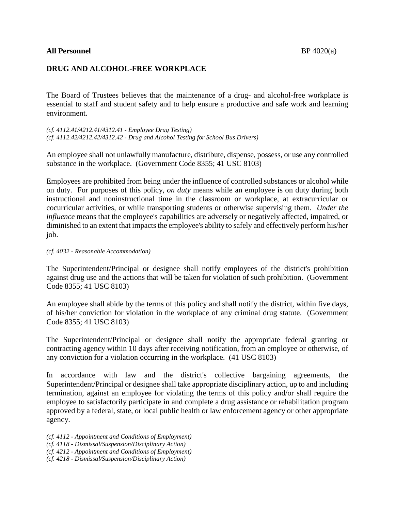## **All Personnel** BP 4020(a)

# **DRUG AND ALCOHOL-FREE WORKPLACE**

The Board of Trustees believes that the maintenance of a drug- and alcohol-free workplace is essential to staff and student safety and to help ensure a productive and safe work and learning environment.

*(cf. 4112.41/4212.41/4312.41 - Employee Drug Testing) (cf. 4112.42/4212.42/4312.42 - Drug and Alcohol Testing for School Bus Drivers)*

An employee shall not unlawfully manufacture, distribute, dispense, possess, or use any controlled substance in the workplace. (Government Code 8355; 41 USC 8103)

Employees are prohibited from being under the influence of controlled substances or alcohol while on duty. For purposes of this policy, *on duty* means while an employee is on duty during both instructional and noninstructional time in the classroom or workplace, at extracurricular or cocurricular activities, or while transporting students or otherwise supervising them. *Under the influence* means that the employee's capabilities are adversely or negatively affected, impaired, or diminished to an extent that impacts the employee's ability to safely and effectively perform his/her job.

### *(cf. 4032 - Reasonable Accommodation)*

The Superintendent/Principal or designee shall notify employees of the district's prohibition against drug use and the actions that will be taken for violation of such prohibition. (Government Code 8355; 41 USC 8103)

An employee shall abide by the terms of this policy and shall notify the district, within five days, of his/her conviction for violation in the workplace of any criminal drug statute. (Government Code 8355; 41 USC 8103)

The Superintendent/Principal or designee shall notify the appropriate federal granting or contracting agency within 10 days after receiving notification, from an employee or otherwise, of any conviction for a violation occurring in the workplace. (41 USC 8103)

In accordance with law and the district's collective bargaining agreements, the Superintendent/Principal or designee shall take appropriate disciplinary action, up to and including termination, against an employee for violating the terms of this policy and/or shall require the employee to satisfactorily participate in and complete a drug assistance or rehabilitation program approved by a federal, state, or local public health or law enforcement agency or other appropriate agency.

*(cf. 4112 - Appointment and Conditions of Employment) (cf. 4118 - Dismissal/Suspension/Disciplinary Action)*

*(cf. 4212 - Appointment and Conditions of Employment)*

*(cf. 4218 - Dismissal/Suspension/Disciplinary Action)*